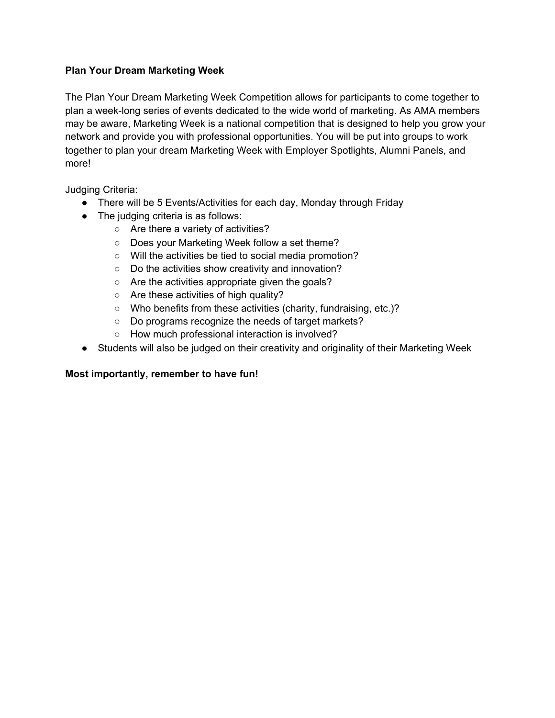## **Plan Your Dream Marketing Week**

The Plan Your Dream Marketing Week Competition allows for participants to come together to plan a week-long series of events dedicated to the wide world of marketing. As AMA members may be aware, Marketing Week is a national competition that is designed to help you grow your network and provide you with professional opportunities. You will be put into groups to work together to plan your dream Marketing Week with Employer Spotlights, Alumni Panels, and more!

Judging Criteria:

- There will be 5 Events/Activities for each day, Monday through Friday
- The judging criteria is as follows:
	- Are there a variety of activities?
	- Does your Marketing Week follow a set theme?
	- Will the activities be tied to social media promotion?
	- Do the activities show creativity and innovation?
	- Are the activities appropriate given the goals?
	- Are these activities of high quality?
	- Who benefits from these activities (charity, fundraising, etc.)?
	- Do programs recognize the needs of target markets?
	- How much professional interaction is involved?
- Students will also be judged on their creativity and originality of their Marketing Week

## **Most importantly, remember to have fun!**